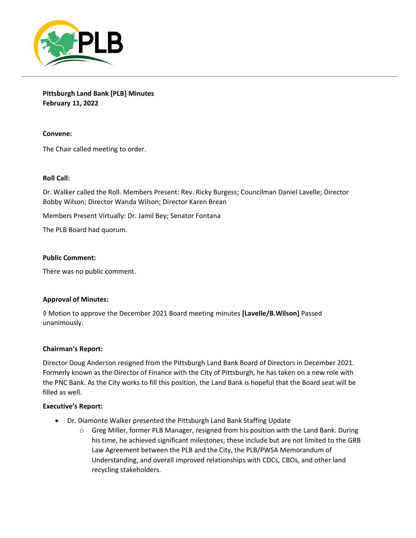

**Pittsburgh Land Bank [PLB] Minutes February 11, 2022**

**Convene:** 

The Chair called meeting to order.

### **Roll Call:**

Dr. Walker called the Roll. Members Present: Rev. Ricky Burgess; Councilman Daniel Lavelle; Director Bobby Wilson; Director Wanda Wilson; Director Karen Brean

Members Present Virtually: Dr. Jamil Bey; Senator Fontana

The PLB Board had quorum.

### **Public Comment:**

There was no public comment.

### **Approval of Minutes:**

◊ Motion to approve the December 2021 Board meeting minutes **[Lavelle/B.Wilson]** Passed unanimously.

### **Chairman's Report:**

Director Doug Anderson resigned from the Pittsburgh Land Bank Board of Directors in December 2021. Formerly known as the Director of Finance with the City of Pittsburgh, he has taken on a new role with the PNC Bank. As the City works to fill this position, the Land Bank is hopeful that the Board seat will be filled as well.

### **Executive's Report:**

- Dr. Diamonte Walker presented the Pittsburgh Land Bank Staffing Update
	- $\circ$  Greg Miller, former PLB Manager, resigned from his position with the Land Bank. During his time, he achieved significant milestones; these include but are not limited to the GRB Law Agreement between the PLB and the City, the PLB/PWSA Memorandum of Understanding, and overall improved relationships with CDCs, CBOs, and other land recycling stakeholders.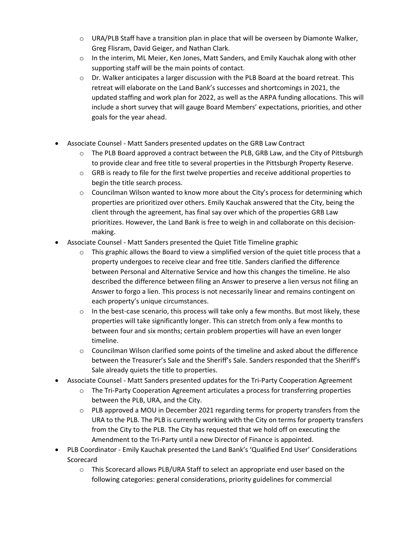- o URA/PLB Staff have a transition plan in place that will be overseen by Diamonte Walker, Greg Flisram, David Geiger, and Nathan Clark.
- $\circ$  In the interim, ML Meier, Ken Jones, Matt Sanders, and Emily Kauchak along with other supporting staff will be the main points of contact.
- $\circ$  Dr. Walker anticipates a larger discussion with the PLB Board at the board retreat. This retreat will elaborate on the Land Bank's successes and shortcomings in 2021, the updated staffing and work plan for 2022, as well as the ARPA funding allocations. This will include a short survey that will gauge Board Members' expectations, priorities, and other goals for the year ahead.
- Associate Counsel Matt Sanders presented updates on the GRB Law Contract
	- o The PLB Board approved a contract between the PLB, GRB Law, and the City of Pittsburgh to provide clear and free title to several properties in the Pittsburgh Property Reserve.
	- $\circ$  GRB is ready to file for the first twelve properties and receive additional properties to begin the title search process.
	- $\circ$  Councilman Wilson wanted to know more about the City's process for determining which properties are prioritized over others. Emily Kauchak answered that the City, being the client through the agreement, has final say over which of the properties GRB Law prioritizes. However, the Land Bank is free to weigh in and collaborate on this decisionmaking.
- Associate Counsel Matt Sanders presented the Quiet Title Timeline graphic
	- $\circ$  This graphic allows the Board to view a simplified version of the quiet title process that a property undergoes to receive clear and free title. Sanders clarified the difference between Personal and Alternative Service and how this changes the timeline. He also described the difference between filing an Answer to preserve a lien versus not filing an Answer to forgo a lien. This process is not necessarily linear and remains contingent on each property's unique circumstances.
	- $\circ$  In the best-case scenario, this process will take only a few months. But most likely, these properties will take significantly longer. This can stretch from only a few months to between four and six months; certain problem properties will have an even longer timeline.
	- $\circ$  Councilman Wilson clarified some points of the timeline and asked about the difference between the Treasurer's Sale and the Sheriff's Sale. Sanders responded that the Sheriff's Sale already quiets the title to properties.
- Associate Counsel Matt Sanders presented updates for the Tri-Party Cooperation Agreement
	- $\circ$  The Tri-Party Cooperation Agreement articulates a process for transferring properties between the PLB, URA, and the City.
		- $\circ$  PLB approved a MOU in December 2021 regarding terms for property transfers from the URA to the PLB. The PLB is currently working with the City on terms for property transfers from the City to the PLB. The City has requested that we hold off on executing the Amendment to the Tri-Party until a new Director of Finance is appointed.
- PLB Coordinator Emily Kauchak presented the Land Bank's 'Qualified End User' Considerations Scorecard
	- o This Scorecard allows PLB/URA Staff to select an appropriate end user based on the following categories: general considerations, priority guidelines for commercial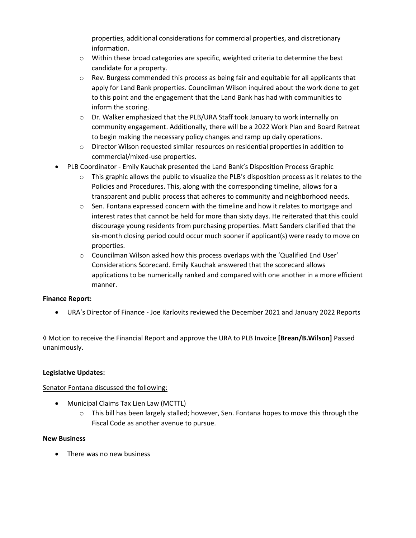properties, additional considerations for commercial properties, and discretionary information.

- o Within these broad categories are specific, weighted criteria to determine the best candidate for a property.
- o Rev. Burgess commended this process as being fair and equitable for all applicants that apply for Land Bank properties. Councilman Wilson inquired about the work done to get to this point and the engagement that the Land Bank has had with communities to inform the scoring.
- o Dr. Walker emphasized that the PLB/URA Staff took January to work internally on community engagement. Additionally, there will be a 2022 Work Plan and Board Retreat to begin making the necessary policy changes and ramp up daily operations.
- o Director Wilson requested similar resources on residential properties in addition to commercial/mixed-use properties.
- PLB Coordinator Emily Kauchak presented the Land Bank's Disposition Process Graphic
	- $\circ$  This graphic allows the public to visualize the PLB's disposition process as it relates to the Policies and Procedures. This, along with the corresponding timeline, allows for a transparent and public process that adheres to community and neighborhood needs.
	- $\circ$  Sen. Fontana expressed concern with the timeline and how it relates to mortgage and interest rates that cannot be held for more than sixty days. He reiterated that this could discourage young residents from purchasing properties. Matt Sanders clarified that the six-month closing period could occur much sooner if applicant(s) were ready to move on properties.
	- $\circ$  Councilman Wilson asked how this process overlaps with the 'Qualified End User' Considerations Scorecard. Emily Kauchak answered that the scorecard allows applications to be numerically ranked and compared with one another in a more efficient manner.

# **Finance Report:**

• URA's Director of Finance - Joe Karlovits reviewed the December 2021 and January 2022 Reports

◊ Motion to receive the Financial Report and approve the URA to PLB Invoice **[Brean/B.Wilson]** Passed unanimously.

## **Legislative Updates:**

## Senator Fontana discussed the following:

- Municipal Claims Tax Lien Law (MCTTL)
	- $\circ$  This bill has been largely stalled; however, Sen. Fontana hopes to move this through the Fiscal Code as another avenue to pursue.

## **New Business**

• There was no new business